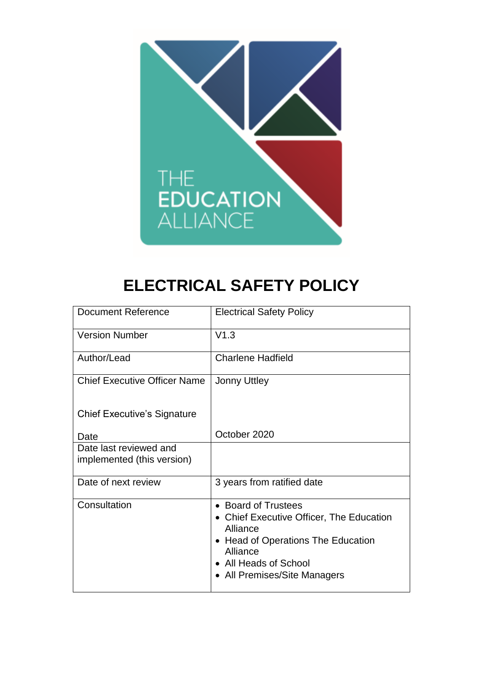

# **ELECTRICAL SAFETY POLICY**

| <b>Document Reference</b>                            | <b>Electrical Safety Policy</b>                                                                                                                                                        |
|------------------------------------------------------|----------------------------------------------------------------------------------------------------------------------------------------------------------------------------------------|
| <b>Version Number</b>                                | V1.3                                                                                                                                                                                   |
| Author/Lead                                          | <b>Charlene Hadfield</b>                                                                                                                                                               |
| <b>Chief Executive Officer Name</b>                  | <b>Jonny Uttley</b>                                                                                                                                                                    |
| <b>Chief Executive's Signature</b>                   |                                                                                                                                                                                        |
| Date                                                 | October 2020                                                                                                                                                                           |
| Date last reviewed and<br>implemented (this version) |                                                                                                                                                                                        |
| Date of next review                                  | 3 years from ratified date                                                                                                                                                             |
| Consultation                                         | • Board of Trustees<br>• Chief Executive Officer, The Education<br>Alliance<br>• Head of Operations The Education<br>Alliance<br>• All Heads of School<br>• All Premises/Site Managers |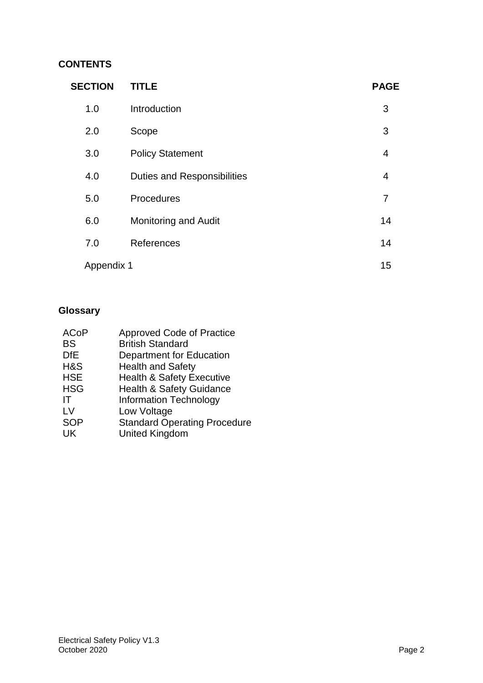## **CONTENTS**

| <b>SECTION</b> | <b>TITLE</b>                       | <b>PAGE</b>    |
|----------------|------------------------------------|----------------|
| 1.0            | Introduction                       | 3              |
| 2.0            | Scope                              | 3              |
| 3.0            | <b>Policy Statement</b>            | $\overline{4}$ |
| 4.0            | <b>Duties and Responsibilities</b> | 4              |
| 5.0            | Procedures                         | 7              |
| 6.0            | <b>Monitoring and Audit</b>        | 14             |
| 7.0            | References                         | 14             |
| Appendix 1     |                                    | 15             |

# **Glossary**

| <b>ACoP</b> | <b>Approved Code of Practice</b>     |
|-------------|--------------------------------------|
| <b>BS</b>   | <b>British Standard</b>              |
| <b>DfE</b>  | Department for Education             |
| H&S         | <b>Health and Safety</b>             |
| <b>HSE</b>  | <b>Health &amp; Safety Executive</b> |
| <b>HSG</b>  | <b>Health &amp; Safety Guidance</b>  |
| IΤ          | <b>Information Technology</b>        |
| LV          | Low Voltage                          |
| <b>SOP</b>  | <b>Standard Operating Procedure</b>  |
| UK          | <b>United Kingdom</b>                |
|             |                                      |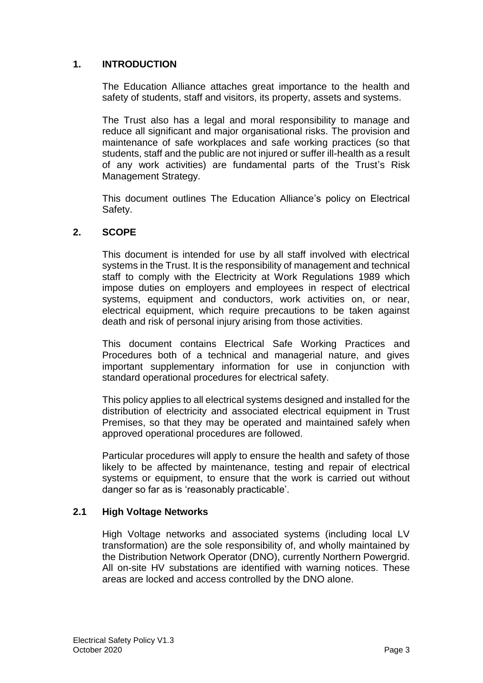## **1. INTRODUCTION**

The Education Alliance attaches great importance to the health and safety of students, staff and visitors, its property, assets and systems.

The Trust also has a legal and moral responsibility to manage and reduce all significant and major organisational risks. The provision and maintenance of safe workplaces and safe working practices (so that students, staff and the public are not injured or suffer ill-health as a result of any work activities) are fundamental parts of the Trust's Risk Management Strategy.

This document outlines The Education Alliance's policy on Electrical Safety.

#### **2. SCOPE**

This document is intended for use by all staff involved with electrical systems in the Trust. It is the responsibility of management and technical staff to comply with the Electricity at Work Regulations 1989 which impose duties on employers and employees in respect of electrical systems, equipment and conductors, work activities on, or near, electrical equipment, which require precautions to be taken against death and risk of personal injury arising from those activities.

This document contains Electrical Safe Working Practices and Procedures both of a technical and managerial nature, and gives important supplementary information for use in conjunction with standard operational procedures for electrical safety.

This policy applies to all electrical systems designed and installed for the distribution of electricity and associated electrical equipment in Trust Premises, so that they may be operated and maintained safely when approved operational procedures are followed.

Particular procedures will apply to ensure the health and safety of those likely to be affected by maintenance, testing and repair of electrical systems or equipment, to ensure that the work is carried out without danger so far as is 'reasonably practicable'.

#### **2.1 High Voltage Networks**

High Voltage networks and associated systems (including local LV transformation) are the sole responsibility of, and wholly maintained by the Distribution Network Operator (DNO), currently Northern Powergrid. All on-site HV substations are identified with warning notices. These areas are locked and access controlled by the DNO alone.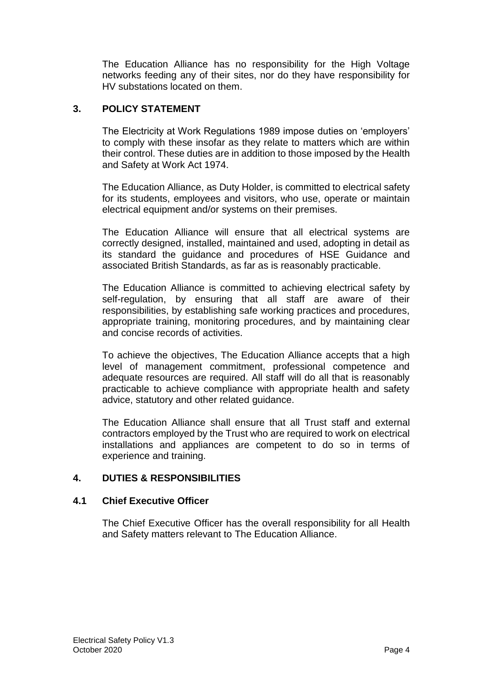The Education Alliance has no responsibility for the High Voltage networks feeding any of their sites, nor do they have responsibility for HV substations located on them.

## **3. POLICY STATEMENT**

The Electricity at Work Regulations 1989 impose duties on 'employers' to comply with these insofar as they relate to matters which are within their control. These duties are in addition to those imposed by the Health and Safety at Work Act 1974.

The Education Alliance, as Duty Holder, is committed to electrical safety for its students, employees and visitors, who use, operate or maintain electrical equipment and/or systems on their premises.

The Education Alliance will ensure that all electrical systems are correctly designed, installed, maintained and used, adopting in detail as its standard the guidance and procedures of HSE Guidance and associated British Standards, as far as is reasonably practicable.

The Education Alliance is committed to achieving electrical safety by self-regulation, by ensuring that all staff are aware of their responsibilities, by establishing safe working practices and procedures, appropriate training, monitoring procedures, and by maintaining clear and concise records of activities.

To achieve the objectives, The Education Alliance accepts that a high level of management commitment, professional competence and adequate resources are required. All staff will do all that is reasonably practicable to achieve compliance with appropriate health and safety advice, statutory and other related guidance.

The Education Alliance shall ensure that all Trust staff and external contractors employed by the Trust who are required to work on electrical installations and appliances are competent to do so in terms of experience and training.

## **4. DUTIES & RESPONSIBILITIES**

#### **4.1 Chief Executive Officer**

The Chief Executive Officer has the overall responsibility for all Health and Safety matters relevant to The Education Alliance.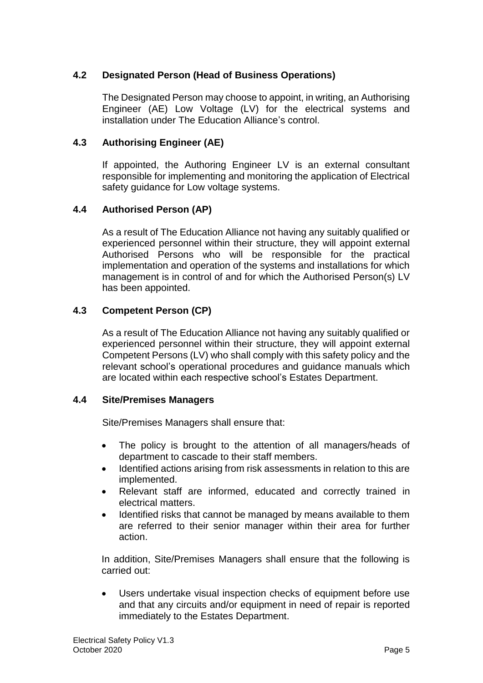## **4.2 Designated Person (Head of Business Operations)**

The Designated Person may choose to appoint, in writing, an Authorising Engineer (AE) Low Voltage (LV) for the electrical systems and installation under The Education Alliance's control.

#### **4.3 Authorising Engineer (AE)**

If appointed, the Authoring Engineer LV is an external consultant responsible for implementing and monitoring the application of Electrical safety guidance for Low voltage systems.

## **4.4 Authorised Person (AP)**

As a result of The Education Alliance not having any suitably qualified or experienced personnel within their structure, they will appoint external Authorised Persons who will be responsible for the practical implementation and operation of the systems and installations for which management is in control of and for which the Authorised Person(s) LV has been appointed.

## **4.3 Competent Person (CP)**

As a result of The Education Alliance not having any suitably qualified or experienced personnel within their structure, they will appoint external Competent Persons (LV) who shall comply with this safety policy and the relevant school's operational procedures and guidance manuals which are located within each respective school's Estates Department.

#### **4.4 Site/Premises Managers**

Site/Premises Managers shall ensure that:

- The policy is brought to the attention of all managers/heads of department to cascade to their staff members.
- Identified actions arising from risk assessments in relation to this are implemented.
- Relevant staff are informed, educated and correctly trained in electrical matters.
- Identified risks that cannot be managed by means available to them are referred to their senior manager within their area for further action.

In addition, Site/Premises Managers shall ensure that the following is carried out:

 Users undertake visual inspection checks of equipment before use and that any circuits and/or equipment in need of repair is reported immediately to the Estates Department.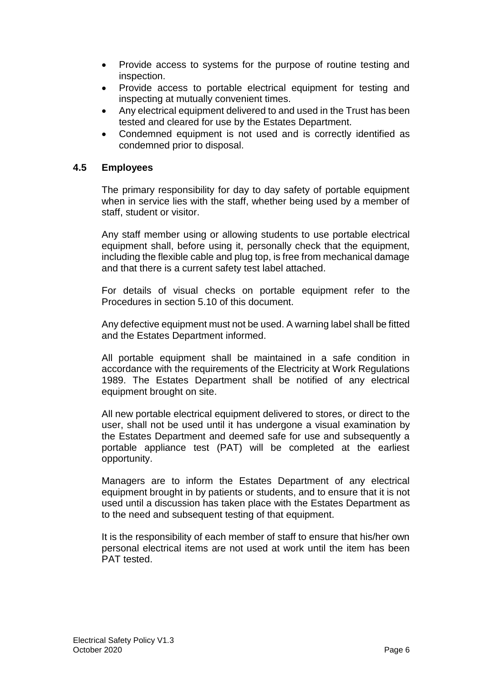- Provide access to systems for the purpose of routine testing and inspection.
- Provide access to portable electrical equipment for testing and inspecting at mutually convenient times.
- Any electrical equipment delivered to and used in the Trust has been tested and cleared for use by the Estates Department.
- Condemned equipment is not used and is correctly identified as condemned prior to disposal.

#### **4.5 Employees**

The primary responsibility for day to day safety of portable equipment when in service lies with the staff, whether being used by a member of staff, student or visitor.

Any staff member using or allowing students to use portable electrical equipment shall, before using it, personally check that the equipment, including the flexible cable and plug top, is free from mechanical damage and that there is a current safety test label attached.

For details of visual checks on portable equipment refer to the Procedures in section 5.10 of this document.

Any defective equipment must not be used. A warning label shall be fitted and the Estates Department informed.

All portable equipment shall be maintained in a safe condition in accordance with the requirements of the Electricity at Work Regulations 1989. The Estates Department shall be notified of any electrical equipment brought on site.

All new portable electrical equipment delivered to stores, or direct to the user, shall not be used until it has undergone a visual examination by the Estates Department and deemed safe for use and subsequently a portable appliance test (PAT) will be completed at the earliest opportunity.

Managers are to inform the Estates Department of any electrical equipment brought in by patients or students, and to ensure that it is not used until a discussion has taken place with the Estates Department as to the need and subsequent testing of that equipment.

It is the responsibility of each member of staff to ensure that his/her own personal electrical items are not used at work until the item has been PAT tested.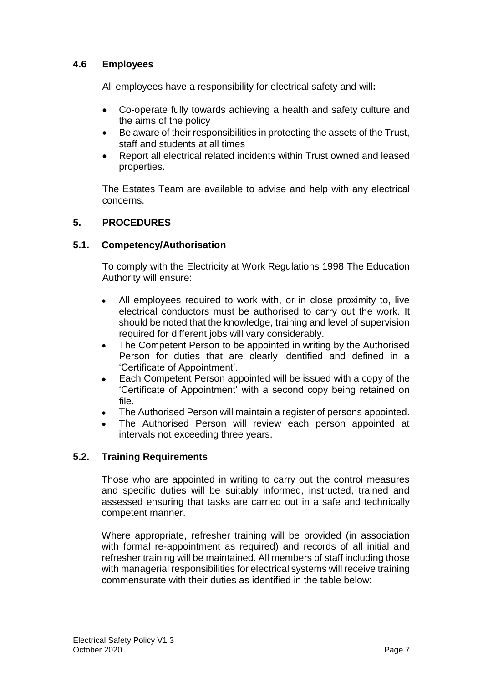## **4.6 Employees**

All employees have a responsibility for electrical safety and will**:**

- Co-operate fully towards achieving a health and safety culture and the aims of the policy
- Be aware of their responsibilities in protecting the assets of the Trust, staff and students at all times
- Report all electrical related incidents within Trust owned and leased properties.

The Estates Team are available to advise and help with any electrical concerns.

## **5. PROCEDURES**

## **5.1. Competency/Authorisation**

To comply with the Electricity at Work Regulations 1998 The Education Authority will ensure:

- All employees required to work with, or in close proximity to, live electrical conductors must be authorised to carry out the work. It should be noted that the knowledge, training and level of supervision required for different jobs will vary considerably.
- The Competent Person to be appointed in writing by the Authorised Person for duties that are clearly identified and defined in a 'Certificate of Appointment'.
- Each Competent Person appointed will be issued with a copy of the 'Certificate of Appointment' with a second copy being retained on file.
- The Authorised Person will maintain a register of persons appointed.
- The Authorised Person will review each person appointed at intervals not exceeding three years.

## **5.2. Training Requirements**

Those who are appointed in writing to carry out the control measures and specific duties will be suitably informed, instructed, trained and assessed ensuring that tasks are carried out in a safe and technically competent manner.

Where appropriate, refresher training will be provided (in association with formal re-appointment as required) and records of all initial and refresher training will be maintained. All members of staff including those with managerial responsibilities for electrical systems will receive training commensurate with their duties as identified in the table below: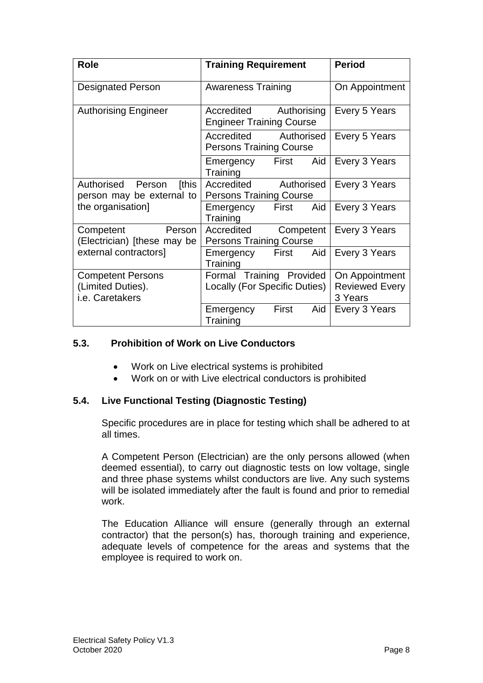| Role                                                                        | <b>Training Requirement</b>                                  | <b>Period</b>                                      |
|-----------------------------------------------------------------------------|--------------------------------------------------------------|----------------------------------------------------|
| <b>Designated Person</b>                                                    | <b>Awareness Training</b>                                    | On Appointment                                     |
| <b>Authorising Engineer</b>                                                 | Authorising<br>Accredited<br><b>Engineer Training Course</b> | Every 5 Years                                      |
|                                                                             | Accredited Authorised<br><b>Persons Training Course</b>      | Every 5 Years                                      |
|                                                                             | Emergency First<br>Aid<br>Training                           | Every 3 Years                                      |
| [this<br>Authorised Person<br>person may be external to                     | Accredited<br>Authorised<br><b>Persons Training Course</b>   | Every 3 Years                                      |
| the organisation]                                                           | First<br>Aid<br>Emergency<br>Training                        | Every 3 Years                                      |
| Person<br>Competent<br>(Electrician) [these may be<br>external contractors] | Accredited<br>Competent<br><b>Persons Training Course</b>    | Every 3 Years                                      |
|                                                                             | First<br>Aid<br>Emergency<br>Training                        | Every 3 Years                                      |
| <b>Competent Persons</b><br>(Limited Duties).<br>i.e. Caretakers            | Formal Training Provided<br>Locally (For Specific Duties)    | On Appointment<br><b>Reviewed Every</b><br>3 Years |
|                                                                             | First<br>Aid<br>Emergency<br>Training                        | Every 3 Years                                      |

## **5.3. Prohibition of Work on Live Conductors**

- Work on Live electrical systems is prohibited
- Work on or with Live electrical conductors is prohibited

#### **5.4. Live Functional Testing (Diagnostic Testing)**

Specific procedures are in place for testing which shall be adhered to at all times.

A Competent Person (Electrician) are the only persons allowed (when deemed essential), to carry out diagnostic tests on low voltage, single and three phase systems whilst conductors are live. Any such systems will be isolated immediately after the fault is found and prior to remedial work.

The Education Alliance will ensure (generally through an external contractor) that the person(s) has, thorough training and experience, adequate levels of competence for the areas and systems that the employee is required to work on.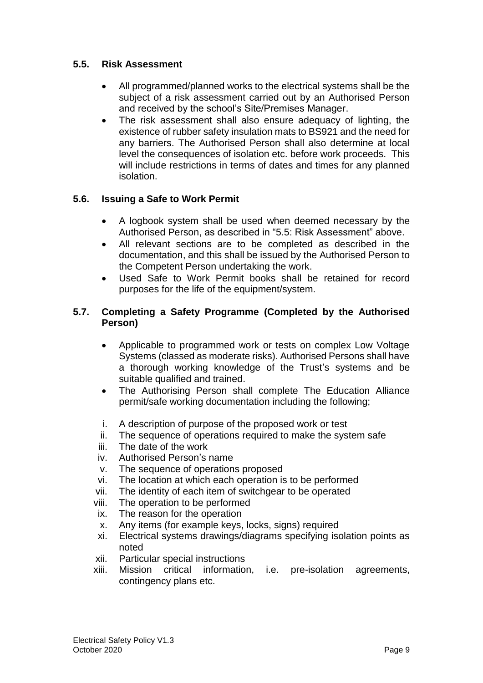## **5.5. Risk Assessment**

- All programmed/planned works to the electrical systems shall be the subject of a risk assessment carried out by an Authorised Person and received by the school's Site/Premises Manager.
- The risk assessment shall also ensure adequacy of lighting, the existence of rubber safety insulation mats to BS921 and the need for any barriers. The Authorised Person shall also determine at local level the consequences of isolation etc. before work proceeds. This will include restrictions in terms of dates and times for any planned isolation.

## **5.6. Issuing a Safe to Work Permit**

- A logbook system shall be used when deemed necessary by the Authorised Person, as described in "5.5: Risk Assessment" above.
- All relevant sections are to be completed as described in the documentation, and this shall be issued by the Authorised Person to the Competent Person undertaking the work.
- Used Safe to Work Permit books shall be retained for record purposes for the life of the equipment/system.

## **5.7. Completing a Safety Programme (Completed by the Authorised Person)**

- Applicable to programmed work or tests on complex Low Voltage Systems (classed as moderate risks). Authorised Persons shall have a thorough working knowledge of the Trust's systems and be suitable qualified and trained.
- The Authorising Person shall complete The Education Alliance permit/safe working documentation including the following;
- i. A description of purpose of the proposed work or test
- ii. The sequence of operations required to make the system safe
- iii. The date of the work
- iv. Authorised Person's name
- v. The sequence of operations proposed
- vi. The location at which each operation is to be performed
- vii. The identity of each item of switchgear to be operated
- viii. The operation to be performed
- ix. The reason for the operation
- x. Any items (for example keys, locks, signs) required
- xi. Electrical systems drawings/diagrams specifying isolation points as noted
- xii. Particular special instructions
- xiii. Mission critical information, i.e. pre-isolation agreements, contingency plans etc.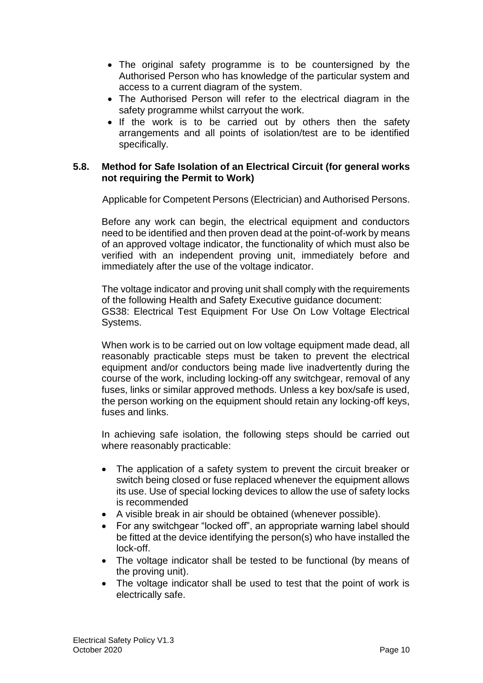- The original safety programme is to be countersigned by the Authorised Person who has knowledge of the particular system and access to a current diagram of the system.
- The Authorised Person will refer to the electrical diagram in the safety programme whilst carryout the work.
- If the work is to be carried out by others then the safety arrangements and all points of isolation/test are to be identified specifically.

#### **5.8. Method for Safe Isolation of an Electrical Circuit (for general works not requiring the Permit to Work)**

Applicable for Competent Persons (Electrician) and Authorised Persons.

Before any work can begin, the electrical equipment and conductors need to be identified and then proven dead at the point-of-work by means of an approved voltage indicator, the functionality of which must also be verified with an independent proving unit, immediately before and immediately after the use of the voltage indicator.

The voltage indicator and proving unit shall comply with the requirements of the following Health and Safety Executive guidance document: GS38: Electrical Test Equipment For Use On Low Voltage Electrical Systems.

When work is to be carried out on low voltage equipment made dead, all reasonably practicable steps must be taken to prevent the electrical equipment and/or conductors being made live inadvertently during the course of the work, including locking-off any switchgear, removal of any fuses, links or similar approved methods. Unless a key box/safe is used, the person working on the equipment should retain any locking-off keys, fuses and links.

In achieving safe isolation, the following steps should be carried out where reasonably practicable:

- The application of a safety system to prevent the circuit breaker or switch being closed or fuse replaced whenever the equipment allows its use. Use of special locking devices to allow the use of safety locks is recommended
- A visible break in air should be obtained (whenever possible).
- For any switchgear "locked off", an appropriate warning label should be fitted at the device identifying the person(s) who have installed the lock-off.
- The voltage indicator shall be tested to be functional (by means of the proving unit).
- The voltage indicator shall be used to test that the point of work is electrically safe.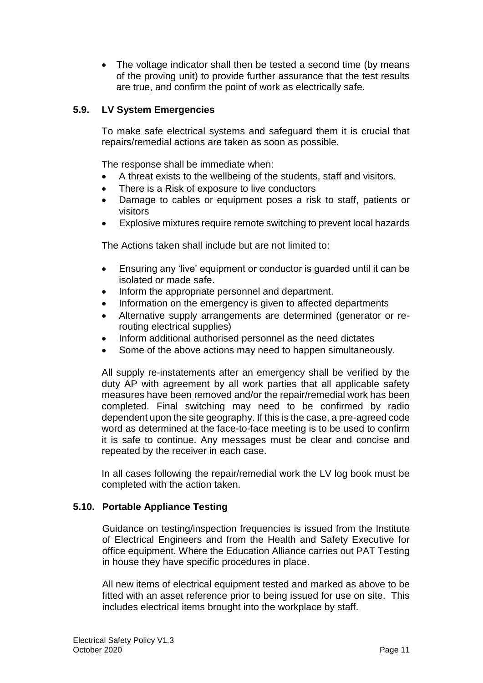• The voltage indicator shall then be tested a second time (by means of the proving unit) to provide further assurance that the test results are true, and confirm the point of work as electrically safe.

## **5.9. LV System Emergencies**

To make safe electrical systems and safeguard them it is crucial that repairs/remedial actions are taken as soon as possible.

The response shall be immediate when:

- A threat exists to the wellbeing of the students, staff and visitors.
- There is a Risk of exposure to live conductors
- Damage to cables or equipment poses a risk to staff, patients or visitors
- Explosive mixtures require remote switching to prevent local hazards

The Actions taken shall include but are not limited to:

- Ensuring any 'live' equipment or conductor is guarded until it can be isolated or made safe.
- Inform the appropriate personnel and department.
- Information on the emergency is given to affected departments
- Alternative supply arrangements are determined (generator or rerouting electrical supplies)
- Inform additional authorised personnel as the need dictates
- Some of the above actions may need to happen simultaneously.

All supply re-instatements after an emergency shall be verified by the duty AP with agreement by all work parties that all applicable safety measures have been removed and/or the repair/remedial work has been completed. Final switching may need to be confirmed by radio dependent upon the site geography. If this is the case, a pre-agreed code word as determined at the face-to-face meeting is to be used to confirm it is safe to continue. Any messages must be clear and concise and repeated by the receiver in each case.

In all cases following the repair/remedial work the LV log book must be completed with the action taken.

## **5.10. Portable Appliance Testing**

Guidance on testing/inspection frequencies is issued from the Institute of Electrical Engineers and from the Health and Safety Executive for office equipment. Where the Education Alliance carries out PAT Testing in house they have specific procedures in place.

All new items of electrical equipment tested and marked as above to be fitted with an asset reference prior to being issued for use on site. This includes electrical items brought into the workplace by staff.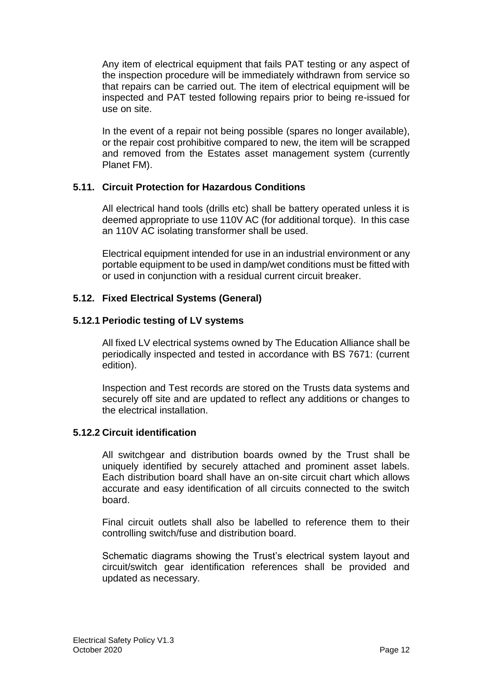Any item of electrical equipment that fails PAT testing or any aspect of the inspection procedure will be immediately withdrawn from service so that repairs can be carried out. The item of electrical equipment will be inspected and PAT tested following repairs prior to being re-issued for use on site.

In the event of a repair not being possible (spares no longer available), or the repair cost prohibitive compared to new, the item will be scrapped and removed from the Estates asset management system (currently Planet FM).

## **5.11. Circuit Protection for Hazardous Conditions**

All electrical hand tools (drills etc) shall be battery operated unless it is deemed appropriate to use 110V AC (for additional torque). In this case an 110V AC isolating transformer shall be used.

Electrical equipment intended for use in an industrial environment or any portable equipment to be used in damp/wet conditions must be fitted with or used in conjunction with a residual current circuit breaker.

## **5.12. Fixed Electrical Systems (General)**

#### **5.12.1 Periodic testing of LV systems**

All fixed LV electrical systems owned by The Education Alliance shall be periodically inspected and tested in accordance with BS 7671: (current edition).

Inspection and Test records are stored on the Trusts data systems and securely off site and are updated to reflect any additions or changes to the electrical installation.

#### **5.12.2 Circuit identification**

All switchgear and distribution boards owned by the Trust shall be uniquely identified by securely attached and prominent asset labels. Each distribution board shall have an on-site circuit chart which allows accurate and easy identification of all circuits connected to the switch board.

Final circuit outlets shall also be labelled to reference them to their controlling switch/fuse and distribution board.

Schematic diagrams showing the Trust's electrical system layout and circuit/switch gear identification references shall be provided and updated as necessary.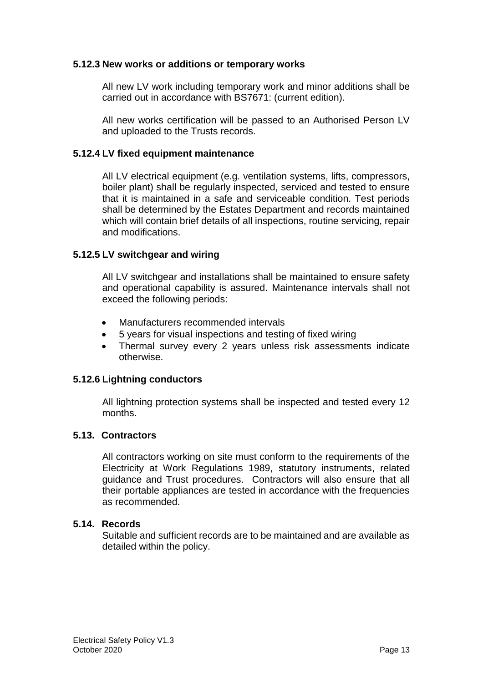#### **5.12.3 New works or additions or temporary works**

All new LV work including temporary work and minor additions shall be carried out in accordance with BS7671: (current edition).

All new works certification will be passed to an Authorised Person LV and uploaded to the Trusts records.

#### **5.12.4 LV fixed equipment maintenance**

All LV electrical equipment (e.g. ventilation systems, lifts, compressors, boiler plant) shall be regularly inspected, serviced and tested to ensure that it is maintained in a safe and serviceable condition. Test periods shall be determined by the Estates Department and records maintained which will contain brief details of all inspections, routine servicing, repair and modifications.

#### **5.12.5 LV switchgear and wiring**

All LV switchgear and installations shall be maintained to ensure safety and operational capability is assured. Maintenance intervals shall not exceed the following periods:

- Manufacturers recommended intervals
- 5 years for visual inspections and testing of fixed wiring
- Thermal survey every 2 years unless risk assessments indicate otherwise.

#### **5.12.6 Lightning conductors**

All lightning protection systems shall be inspected and tested every 12 months.

#### **5.13. Contractors**

All contractors working on site must conform to the requirements of the Electricity at Work Regulations 1989, statutory instruments, related guidance and Trust procedures. Contractors will also ensure that all their portable appliances are tested in accordance with the frequencies as recommended.

#### **5.14. Records**

Suitable and sufficient records are to be maintained and are available as detailed within the policy.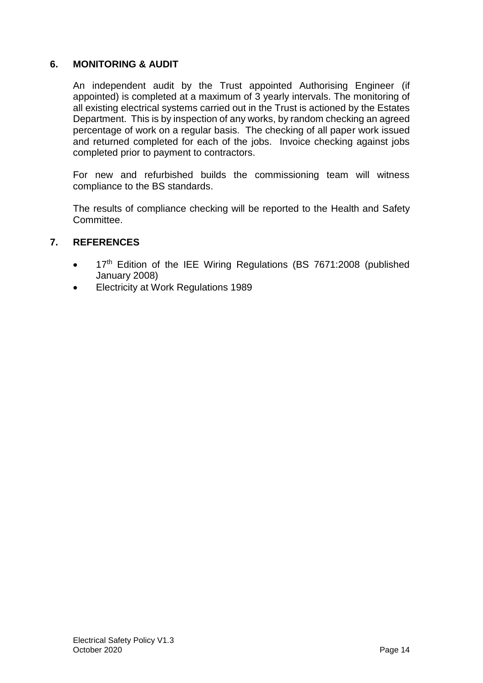## **6. MONITORING & AUDIT**

An independent audit by the Trust appointed Authorising Engineer (if appointed) is completed at a maximum of 3 yearly intervals. The monitoring of all existing electrical systems carried out in the Trust is actioned by the Estates Department. This is by inspection of any works, by random checking an agreed percentage of work on a regular basis. The checking of all paper work issued and returned completed for each of the jobs. Invoice checking against jobs completed prior to payment to contractors.

For new and refurbished builds the commissioning team will witness compliance to the BS standards.

The results of compliance checking will be reported to the Health and Safety Committee.

## **7. REFERENCES**

- 17<sup>th</sup> Edition of the IEE Wiring Regulations (BS 7671:2008 (published January 2008)
- **Electricity at Work Regulations 1989**